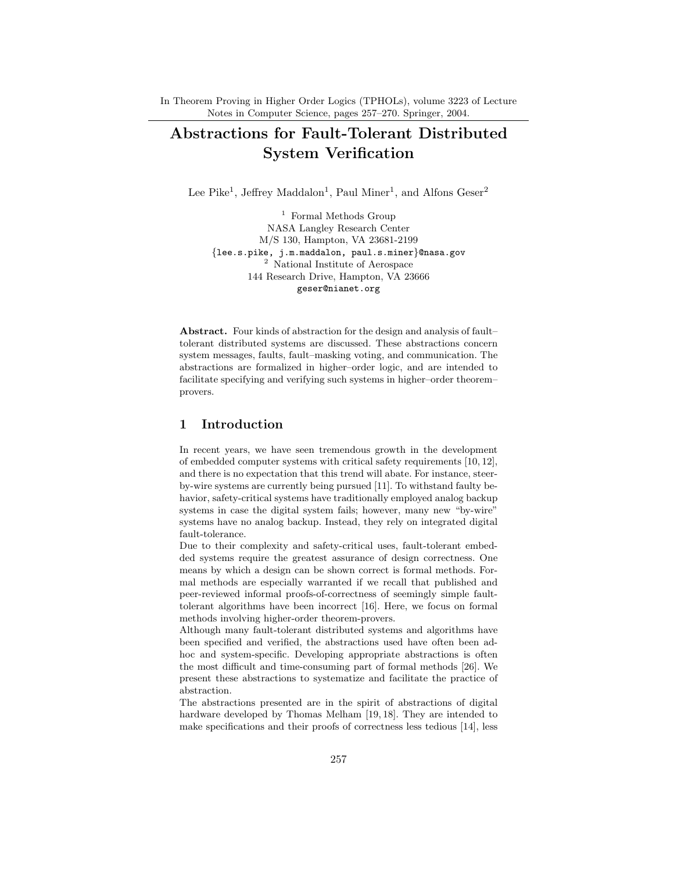# Abstractions for Fault-Tolerant Distributed System Verification

Lee Pike<sup>1</sup>, Jeffrey Maddalon<sup>1</sup>, Paul Miner<sup>1</sup>, and Alfons Geser<sup>2</sup>

<sup>1</sup> Formal Methods Group NASA Langley Research Center M/S 130, Hampton, VA 23681-2199 {lee.s.pike, j.m.maddalon, paul.s.miner}@nasa.gov <sup>2</sup> National Institute of Aerospace 144 Research Drive, Hampton, VA 23666 geser@nianet.org

Abstract. Four kinds of abstraction for the design and analysis of fault– tolerant distributed systems are discussed. These abstractions concern system messages, faults, fault–masking voting, and communication. The abstractions are formalized in higher–order logic, and are intended to facilitate specifying and verifying such systems in higher–order theorem– provers.

### 1 Introduction

In recent years, we have seen tremendous growth in the development of embedded computer systems with critical safety requirements [10, 12], and there is no expectation that this trend will abate. For instance, steerby-wire systems are currently being pursued [11]. To withstand faulty behavior, safety-critical systems have traditionally employed analog backup systems in case the digital system fails; however, many new "by-wire" systems have no analog backup. Instead, they rely on integrated digital fault-tolerance.

Due to their complexity and safety-critical uses, fault-tolerant embedded systems require the greatest assurance of design correctness. One means by which a design can be shown correct is formal methods. Formal methods are especially warranted if we recall that published and peer-reviewed informal proofs-of-correctness of seemingly simple faulttolerant algorithms have been incorrect [16]. Here, we focus on formal methods involving higher-order theorem-provers.

Although many fault-tolerant distributed systems and algorithms have been specified and verified, the abstractions used have often been adhoc and system-specific. Developing appropriate abstractions is often the most difficult and time-consuming part of formal methods [26]. We present these abstractions to systematize and facilitate the practice of abstraction.

The abstractions presented are in the spirit of abstractions of digital hardware developed by Thomas Melham [19, 18]. They are intended to make specifications and their proofs of correctness less tedious [14], less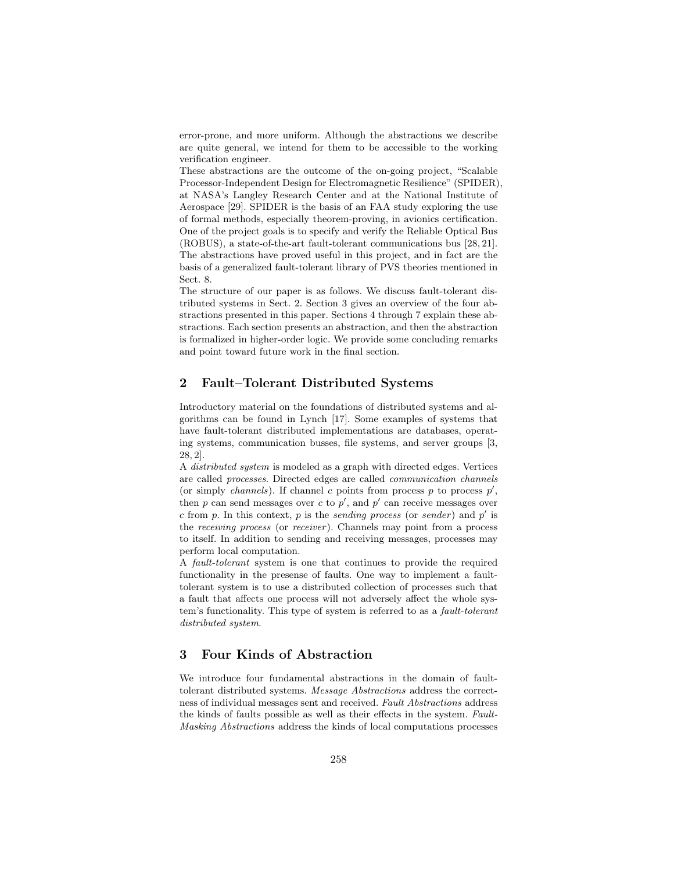error-prone, and more uniform. Although the abstractions we describe are quite general, we intend for them to be accessible to the working verification engineer.

These abstractions are the outcome of the on-going project, "Scalable Processor-Independent Design for Electromagnetic Resilience" (SPIDER), at NASA's Langley Research Center and at the National Institute of Aerospace [29]. SPIDER is the basis of an FAA study exploring the use of formal methods, especially theorem-proving, in avionics certification. One of the project goals is to specify and verify the Reliable Optical Bus (ROBUS), a state-of-the-art fault-tolerant communications bus [28, 21]. The abstractions have proved useful in this project, and in fact are the basis of a generalized fault-tolerant library of PVS theories mentioned in Sect. 8.

The structure of our paper is as follows. We discuss fault-tolerant distributed systems in Sect. 2. Section 3 gives an overview of the four abstractions presented in this paper. Sections 4 through 7 explain these abstractions. Each section presents an abstraction, and then the abstraction is formalized in higher-order logic. We provide some concluding remarks and point toward future work in the final section.

# 2 Fault–Tolerant Distributed Systems

Introductory material on the foundations of distributed systems and algorithms can be found in Lynch [17]. Some examples of systems that have fault-tolerant distributed implementations are databases, operating systems, communication busses, file systems, and server groups [3, 28, 2].

A distributed system is modeled as a graph with directed edges. Vertices are called processes. Directed edges are called communication channels (or simply *channels*). If channel c points from process p to process  $p'$ , then p can send messages over c to p', and p' can receive messages over c from p. In this context, p is the sending process (or sender) and  $p'$  is the receiving process (or receiver). Channels may point from a process to itself. In addition to sending and receiving messages, processes may perform local computation.

A fault-tolerant system is one that continues to provide the required functionality in the presense of faults. One way to implement a faulttolerant system is to use a distributed collection of processes such that a fault that affects one process will not adversely affect the whole system's functionality. This type of system is referred to as a fault-tolerant distributed system.

# 3 Four Kinds of Abstraction

We introduce four fundamental abstractions in the domain of faulttolerant distributed systems. Message Abstractions address the correctness of individual messages sent and received. Fault Abstractions address the kinds of faults possible as well as their effects in the system. Fault-Masking Abstractions address the kinds of local computations processes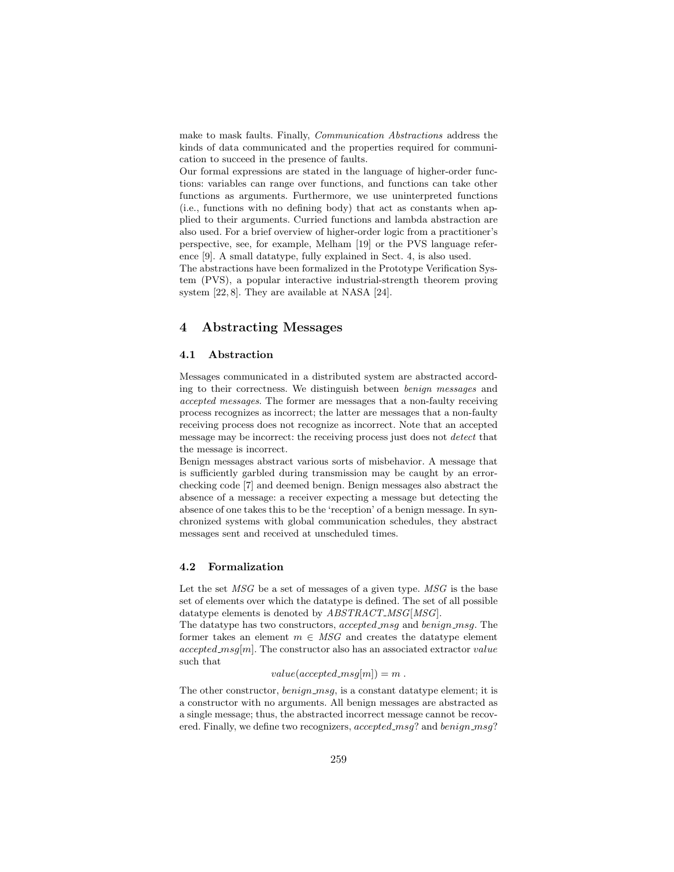make to mask faults. Finally, Communication Abstractions address the kinds of data communicated and the properties required for communication to succeed in the presence of faults.

Our formal expressions are stated in the language of higher-order functions: variables can range over functions, and functions can take other functions as arguments. Furthermore, we use uninterpreted functions (i.e., functions with no defining body) that act as constants when applied to their arguments. Curried functions and lambda abstraction are also used. For a brief overview of higher-order logic from a practitioner's perspective, see, for example, Melham [19] or the PVS language reference [9]. A small datatype, fully explained in Sect. 4, is also used.

The abstractions have been formalized in the Prototype Verification System (PVS), a popular interactive industrial-strength theorem proving system [22, 8]. They are available at NASA [24].

### 4 Abstracting Messages

#### 4.1 Abstraction

Messages communicated in a distributed system are abstracted according to their correctness. We distinguish between benign messages and accepted messages. The former are messages that a non-faulty receiving process recognizes as incorrect; the latter are messages that a non-faulty receiving process does not recognize as incorrect. Note that an accepted message may be incorrect: the receiving process just does not detect that the message is incorrect.

Benign messages abstract various sorts of misbehavior. A message that is sufficiently garbled during transmission may be caught by an errorchecking code [7] and deemed benign. Benign messages also abstract the absence of a message: a receiver expecting a message but detecting the absence of one takes this to be the 'reception' of a benign message. In synchronized systems with global communication schedules, they abstract messages sent and received at unscheduled times.

#### 4.2 Formalization

Let the set  $MSG$  be a set of messages of a given type.  $MSG$  is the base set of elements over which the datatype is defined. The set of all possible datatype elements is denoted by  $ABSTRACT\_MSG[MSG]$ .

The datatype has two constructors, accepted msg and benign msg. The former takes an element  $m \in MSG$  and creates the datatype element  $accepted\_msg[m]$ . The constructor also has an associated extractor  $value$ such that

#### $value(accepted\_msg[m]) = m$ .

The other constructor, *benign\_msg*, is a constant datatype element; it is a constructor with no arguments. All benign messages are abstracted as a single message; thus, the abstracted incorrect message cannot be recovered. Finally, we define two recognizers, accepted msg? and benign\_msg?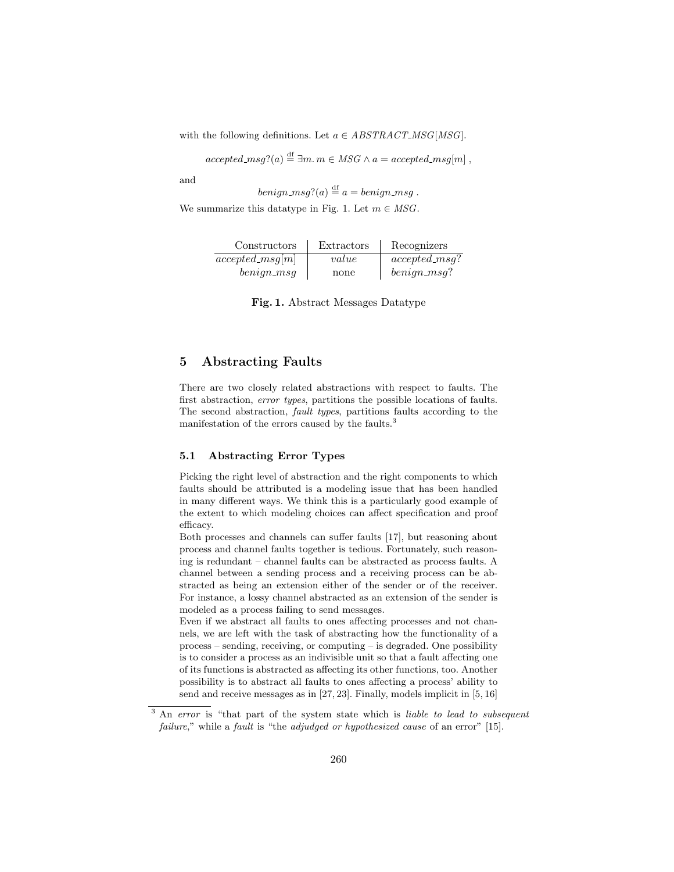with the following definitions. Let  $a \in ABSTRACT\_MSG[MSG]$ .

 $accepted\_msg?(a) \stackrel{\text{df}}{=} \exists m. m \in MSG \land a = accepted\_msg[m] ,$ 

and

 $benign\_msg?(a) \stackrel{\mathrm{df}}{=} a = benign\_msg$ .

We summarize this data type in Fig. 1. Let  $m \in MSG$ .

| Constructors       | Extractors | Recognizers     |
|--------------------|------------|-----------------|
| $accepted\_msg[m]$ | value      | $accepted_msg?$ |
| $benign_msq$       | none       | $benign_msg?$   |

| Fig. 1. Abstract Messages Datatype |  |  |
|------------------------------------|--|--|
|------------------------------------|--|--|

# 5 Abstracting Faults

There are two closely related abstractions with respect to faults. The first abstraction, error types, partitions the possible locations of faults. The second abstraction, fault types, partitions faults according to the manifestation of the errors caused by the faults.<sup>3</sup>

#### 5.1 Abstracting Error Types

Picking the right level of abstraction and the right components to which faults should be attributed is a modeling issue that has been handled in many different ways. We think this is a particularly good example of the extent to which modeling choices can affect specification and proof efficacy.

Both processes and channels can suffer faults [17], but reasoning about process and channel faults together is tedious. Fortunately, such reasoning is redundant – channel faults can be abstracted as process faults. A channel between a sending process and a receiving process can be abstracted as being an extension either of the sender or of the receiver. For instance, a lossy channel abstracted as an extension of the sender is modeled as a process failing to send messages.

Even if we abstract all faults to ones affecting processes and not channels, we are left with the task of abstracting how the functionality of a process – sending, receiving, or computing – is degraded. One possibility is to consider a process as an indivisible unit so that a fault affecting one of its functions is abstracted as affecting its other functions, too. Another possibility is to abstract all faults to ones affecting a process' ability to send and receive messages as in [27, 23]. Finally, models implicit in [5, 16]

<sup>&</sup>lt;sup>3</sup> An error is "that part of the system state which is liable to lead to subsequent failure," while a fault is "the adjudged or hypothesized cause of an error" [15].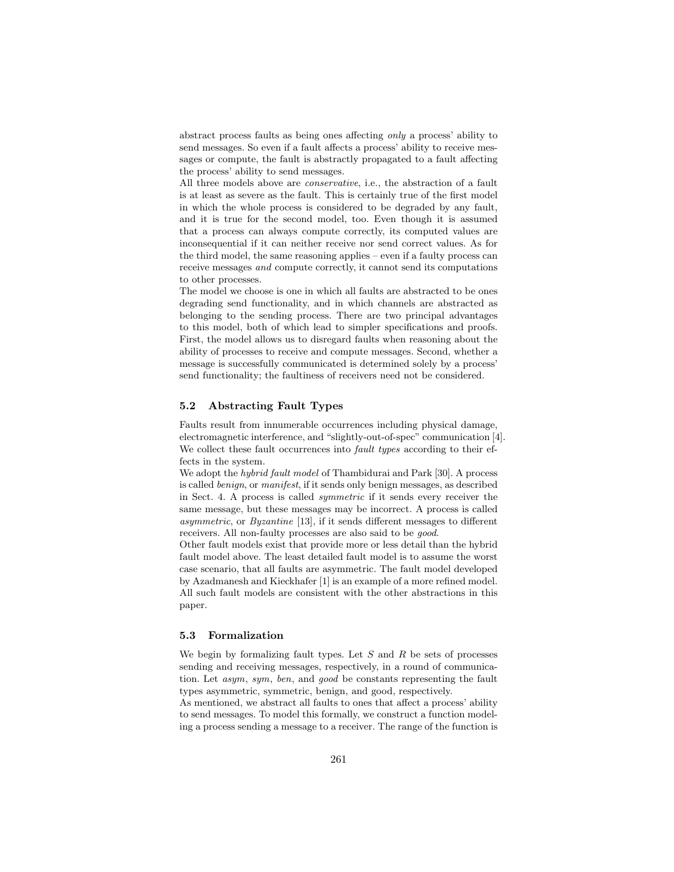abstract process faults as being ones affecting only a process' ability to send messages. So even if a fault affects a process' ability to receive messages or compute, the fault is abstractly propagated to a fault affecting the process' ability to send messages.

All three models above are conservative, i.e., the abstraction of a fault is at least as severe as the fault. This is certainly true of the first model in which the whole process is considered to be degraded by any fault, and it is true for the second model, too. Even though it is assumed that a process can always compute correctly, its computed values are inconsequential if it can neither receive nor send correct values. As for the third model, the same reasoning applies – even if a faulty process can receive messages and compute correctly, it cannot send its computations to other processes.

The model we choose is one in which all faults are abstracted to be ones degrading send functionality, and in which channels are abstracted as belonging to the sending process. There are two principal advantages to this model, both of which lead to simpler specifications and proofs. First, the model allows us to disregard faults when reasoning about the ability of processes to receive and compute messages. Second, whether a message is successfully communicated is determined solely by a process' send functionality; the faultiness of receivers need not be considered.

#### 5.2 Abstracting Fault Types

Faults result from innumerable occurrences including physical damage, electromagnetic interference, and "slightly-out-of-spec" communication [4]. We collect these fault occurrences into *fault types* according to their effects in the system.

We adopt the hybrid fault model of Thambidurai and Park [30]. A process is called benign, or manifest, if it sends only benign messages, as described in Sect. 4. A process is called symmetric if it sends every receiver the same message, but these messages may be incorrect. A process is called asymmetric, or Byzantine [13], if it sends different messages to different receivers. All non-faulty processes are also said to be good.

Other fault models exist that provide more or less detail than the hybrid fault model above. The least detailed fault model is to assume the worst case scenario, that all faults are asymmetric. The fault model developed by Azadmanesh and Kieckhafer [1] is an example of a more refined model. All such fault models are consistent with the other abstractions in this paper.

#### 5.3 Formalization

We begin by formalizing fault types. Let  $S$  and  $R$  be sets of processes sending and receiving messages, respectively, in a round of communication. Let asym, sym, ben, and good be constants representing the fault types asymmetric, symmetric, benign, and good, respectively.

As mentioned, we abstract all faults to ones that affect a process' ability to send messages. To model this formally, we construct a function modeling a process sending a message to a receiver. The range of the function is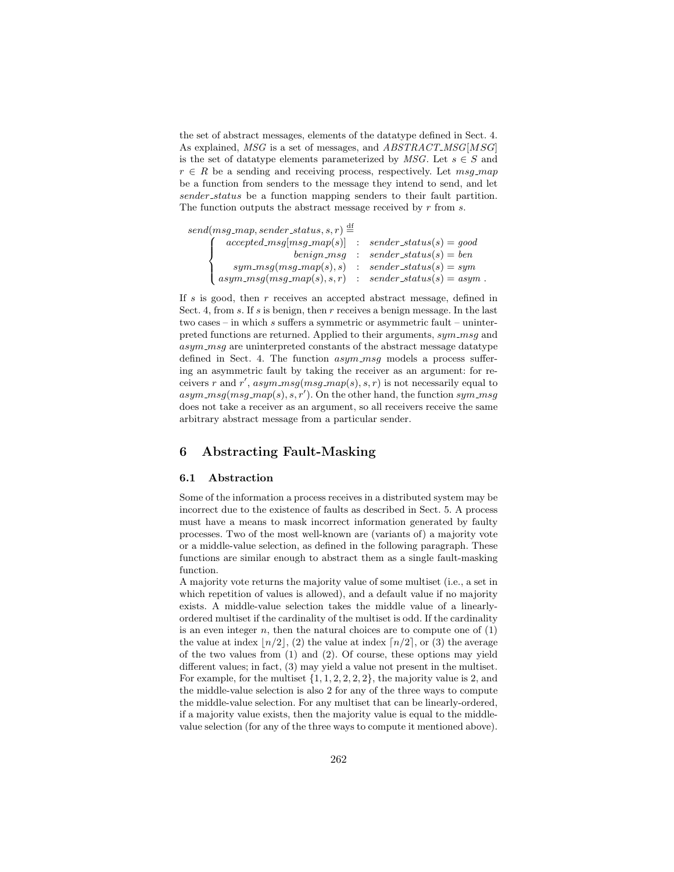the set of abstract messages, elements of the datatype defined in Sect. 4. As explained, MSG is a set of messages, and ABSTRACT\_MSG[MSG] is the set of datatype elements parameterized by  $MSG$ . Let  $s \in S$  and  $r \in R$  be a sending and receiving process, respectively. Let  $msg\_map$ be a function from senders to the message they intend to send, and let sender status be a function mapping senders to their fault partition. The function outputs the abstract message received by  $r$  from  $s$ .

| $send(msg\_map, sender\_status, s, r) \stackrel{\text{df}}{=}$ |                                 |
|----------------------------------------------------------------|---------------------------------|
| $accepted\_msg(msg\_map(s)]$                                   | $: \; sender\_status(s) = good$ |
| $benign_msq$                                                   | : $sender\_status(s) = ben$     |
| $sym_msg(msg_map(s),s)$                                        | : $sender\_status(s) = sym$     |
| $asym_msg(msg_map(s),s,r)$                                     | : $sender\_status(s) = asym$ .  |

If s is good, then  $r$  receives an accepted abstract message, defined in Sect. 4, from s. If s is benign, then  $r$  receives a benign message. In the last two cases – in which  $s$  suffers a symmetric or asymmetric fault – uninterpreted functions are returned. Applied to their arguments, sym\_msq and asym\_msg are uninterpreted constants of the abstract message datatype defined in Sect. 4. The function  $asym_msg$  models a process suffering an asymmetric fault by taking the receiver as an argument: for receivers r and r', asym\_msg(msg\_map(s), s, r) is not necessarily equal to  $asym\_msg(msg\_map(s), s, r')$ . On the other hand, the function sym\_msg does not take a receiver as an argument, so all receivers receive the same arbitrary abstract message from a particular sender.

# 6 Abstracting Fault-Masking

#### 6.1 Abstraction

Some of the information a process receives in a distributed system may be incorrect due to the existence of faults as described in Sect. 5. A process must have a means to mask incorrect information generated by faulty processes. Two of the most well-known are (variants of) a majority vote or a middle-value selection, as defined in the following paragraph. These functions are similar enough to abstract them as a single fault-masking function.

A majority vote returns the majority value of some multiset (i.e., a set in which repetition of values is allowed), and a default value if no majority exists. A middle-value selection takes the middle value of a linearlyordered multiset if the cardinality of the multiset is odd. If the cardinality is an even integer  $n$ , then the natural choices are to compute one of  $(1)$ the value at index  $\lfloor n/2 \rfloor$ , (2) the value at index  $\lfloor n/2 \rfloor$ , or (3) the average of the two values from (1) and (2). Of course, these options may yield different values; in fact, (3) may yield a value not present in the multiset. For example, for the multiset  $\{1, 1, 2, 2, 2, 2\}$ , the majority value is 2, and the middle-value selection is also 2 for any of the three ways to compute the middle-value selection. For any multiset that can be linearly-ordered, if a majority value exists, then the majority value is equal to the middlevalue selection (for any of the three ways to compute it mentioned above).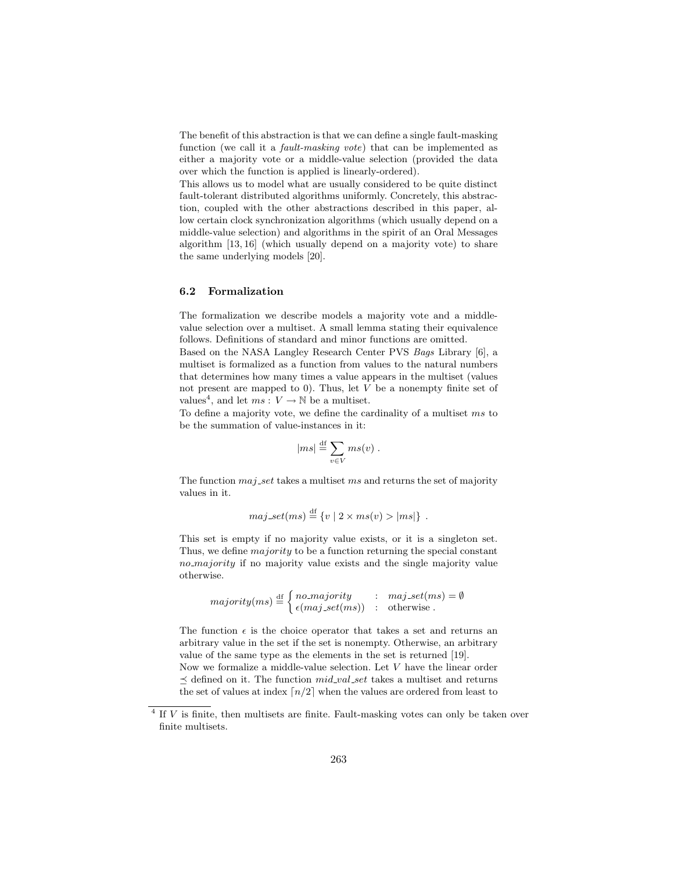The benefit of this abstraction is that we can define a single fault-masking function (we call it a *fault-masking vote*) that can be implemented as either a majority vote or a middle-value selection (provided the data over which the function is applied is linearly-ordered).

This allows us to model what are usually considered to be quite distinct fault-tolerant distributed algorithms uniformly. Concretely, this abstraction, coupled with the other abstractions described in this paper, allow certain clock synchronization algorithms (which usually depend on a middle-value selection) and algorithms in the spirit of an Oral Messages algorithm [13, 16] (which usually depend on a majority vote) to share the same underlying models [20].

#### 6.2 Formalization

The formalization we describe models a majority vote and a middlevalue selection over a multiset. A small lemma stating their equivalence follows. Definitions of standard and minor functions are omitted.

Based on the NASA Langley Research Center PVS Bags Library [6], a multiset is formalized as a function from values to the natural numbers that determines how many times a value appears in the multiset (values not present are mapped to  $0$ ). Thus, let V be a nonempty finite set of values<sup>4</sup>, and let  $ms: V \to \mathbb{N}$  be a multiset.

To define a majority vote, we define the cardinality of a multiset ms to be the summation of value-instances in it:

$$
|ms| \stackrel{\mathrm{df}}{=} \sum_{v \in V} ms(v) .
$$

The function  $maj\_set$  takes a multiset ms and returns the set of majority values in it.

$$
maj\_set(ms) \stackrel{\text{df}}{=} \{v \mid 2 \times ms(v) > |ms|\} .
$$

This set is empty if no majority value exists, or it is a singleton set. Thus, we define *majority* to be a function returning the special constant no majority if no majority value exists and the single majority value otherwise.

$$
majority(ms) \stackrel{\text{df}}{=} \begin{cases} no-majority & : maj_set(ms) = \emptyset \\ \epsilon(maj_set(ms)) & : otherwise. \end{cases}
$$

The function  $\epsilon$  is the choice operator that takes a set and returns an arbitrary value in the set if the set is nonempty. Otherwise, an arbitrary value of the same type as the elements in the set is returned [19]. Now we formalize a middle-value selection. Let  $V$  have the linear order  $\prec$  defined on it. The function  $mid\_val\_set$  takes a multiset and returns the set of values at index  $\lceil n/2 \rceil$  when the values are ordered from least to

 $4$  If V is finite, then multisets are finite. Fault-masking votes can only be taken over finite multisets.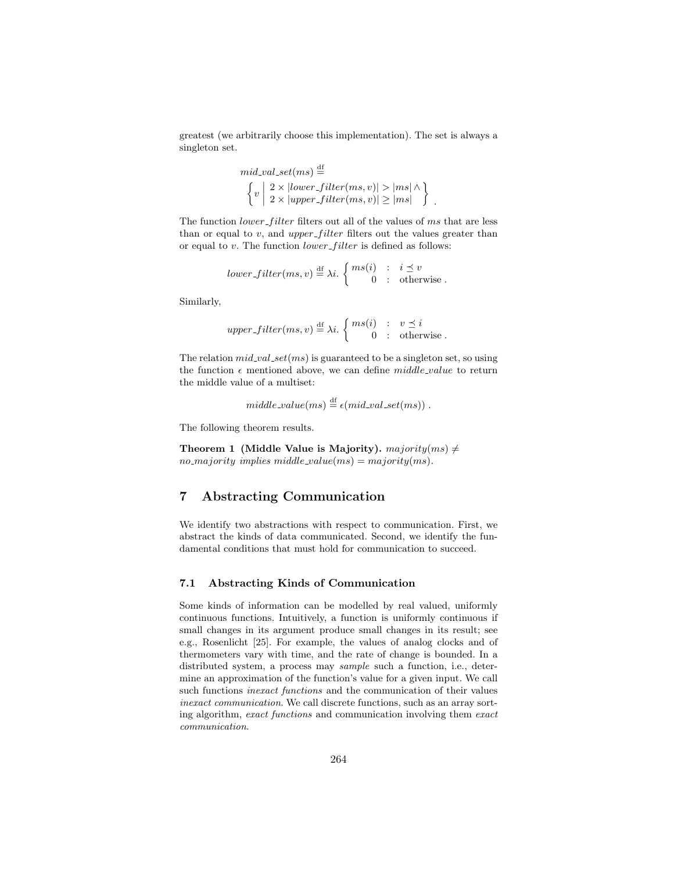greatest (we arbitrarily choose this implementation). The set is always a singleton set.

$$
mid\_val\_set(ms) \stackrel{\text{df}}{=} \left\{ v \mid \begin{array}{l} 2 \times |lower\_filter(ms, v)| > |ms| \land \\ 2 \times |upper\_filter(ms, v)| \ge |ms| \end{array} \right\}
$$

The function  $lower\_filter$  filters out all of the values of  $ms$  that are less than or equal to  $v$ , and upper-filter filters out the values greater than or equal to  $v$ . The function *lower\_filter* is defined as follows:

.

$$
lower-filter(ms, v) \stackrel{\text{df}}{=} \lambda i. \begin{cases} ms(i) & : i \preceq v \\ 0 & : \text{otherwise} \end{cases}.
$$

Similarly,

*upper-filter(ms, v)* 
$$
\stackrel{\text{df}}{=} \lambda i
$$
.  $\begin{cases} ms(i) & : v \preceq i \\ 0 & : \text{otherwise} \end{cases}$ .

The relation  $mid\_val\_set(ms)$  is guaranteed to be a singleton set, so using the function  $\epsilon$  mentioned above, we can define  $middle\_value$  to return the middle value of a multiset:

$$
middle\_value(ms) \stackrel{\text{df}}{=} \epsilon(mid\_val\_set(ms)) .
$$

The following theorem results.

Theorem 1 (Middle Value is Majority).  $majority(ms) \neq$ no majority implies middle value(ms) = majority(ms).

# 7 Abstracting Communication

We identify two abstractions with respect to communication. First, we abstract the kinds of data communicated. Second, we identify the fundamental conditions that must hold for communication to succeed.

#### 7.1 Abstracting Kinds of Communication

Some kinds of information can be modelled by real valued, uniformly continuous functions. Intuitively, a function is uniformly continuous if small changes in its argument produce small changes in its result; see e.g., Rosenlicht [25]. For example, the values of analog clocks and of thermometers vary with time, and the rate of change is bounded. In a distributed system, a process may *sample* such a function, i.e., determine an approximation of the function's value for a given input. We call such functions *inexact functions* and the communication of their values inexact communication. We call discrete functions, such as an array sorting algorithm, exact functions and communication involving them exact communication.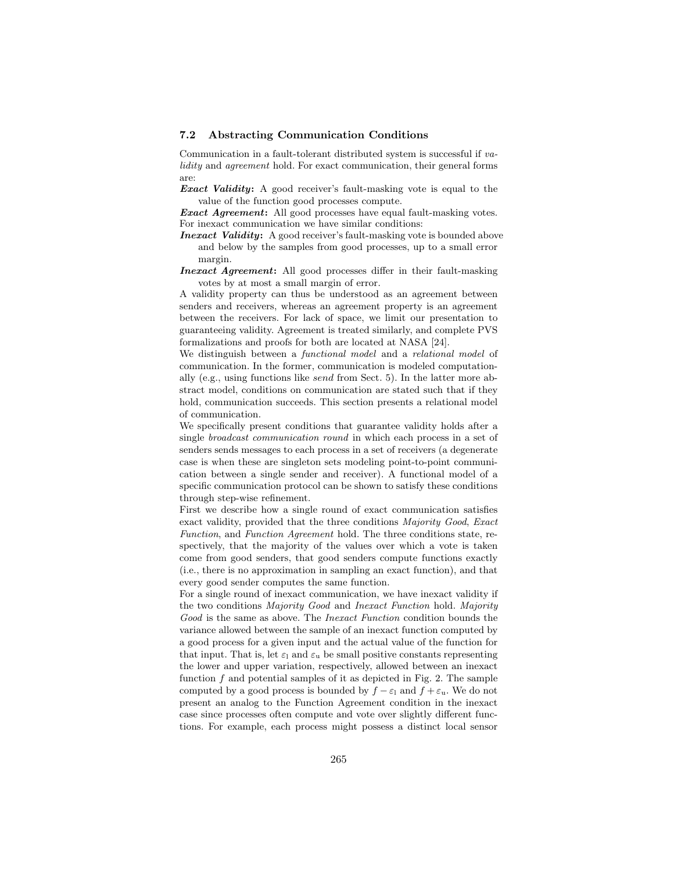#### 7.2 Abstracting Communication Conditions

Communication in a fault-tolerant distributed system is successful if validity and agreement hold. For exact communication, their general forms are:

**Exact Validity:** A good receiver's fault-masking vote is equal to the value of the function good processes compute.

Exact Agreement: All good processes have equal fault-masking votes. For inexact communication we have similar conditions:

- **Inexact Validity:** A good receiver's fault-masking vote is bounded above and below by the samples from good processes, up to a small error margin.
- Inexact Agreement: All good processes differ in their fault-masking votes by at most a small margin of error.

A validity property can thus be understood as an agreement between senders and receivers, whereas an agreement property is an agreement between the receivers. For lack of space, we limit our presentation to guaranteeing validity. Agreement is treated similarly, and complete PVS formalizations and proofs for both are located at NASA [24].

We distinguish between a *functional model* and a *relational model* of communication. In the former, communication is modeled computationally (e.g., using functions like send from Sect. 5). In the latter more abstract model, conditions on communication are stated such that if they hold, communication succeeds. This section presents a relational model of communication.

We specifically present conditions that guarantee validity holds after a single broadcast communication round in which each process in a set of senders sends messages to each process in a set of receivers (a degenerate case is when these are singleton sets modeling point-to-point communication between a single sender and receiver). A functional model of a specific communication protocol can be shown to satisfy these conditions through step-wise refinement.

First we describe how a single round of exact communication satisfies exact validity, provided that the three conditions Majority Good, Exact Function, and Function Agreement hold. The three conditions state, respectively, that the majority of the values over which a vote is taken come from good senders, that good senders compute functions exactly (i.e., there is no approximation in sampling an exact function), and that every good sender computes the same function.

For a single round of inexact communication, we have inexact validity if the two conditions Majority Good and Inexact Function hold. Majority Good is the same as above. The Inexact Function condition bounds the variance allowed between the sample of an inexact function computed by a good process for a given input and the actual value of the function for that input. That is, let  $\varepsilon_1$  and  $\varepsilon_u$  be small positive constants representing the lower and upper variation, respectively, allowed between an inexact function  $f$  and potential samples of it as depicted in Fig. 2. The sample computed by a good process is bounded by  $f - \varepsilon_1$  and  $f + \varepsilon_u$ . We do not present an analog to the Function Agreement condition in the inexact case since processes often compute and vote over slightly different functions. For example, each process might possess a distinct local sensor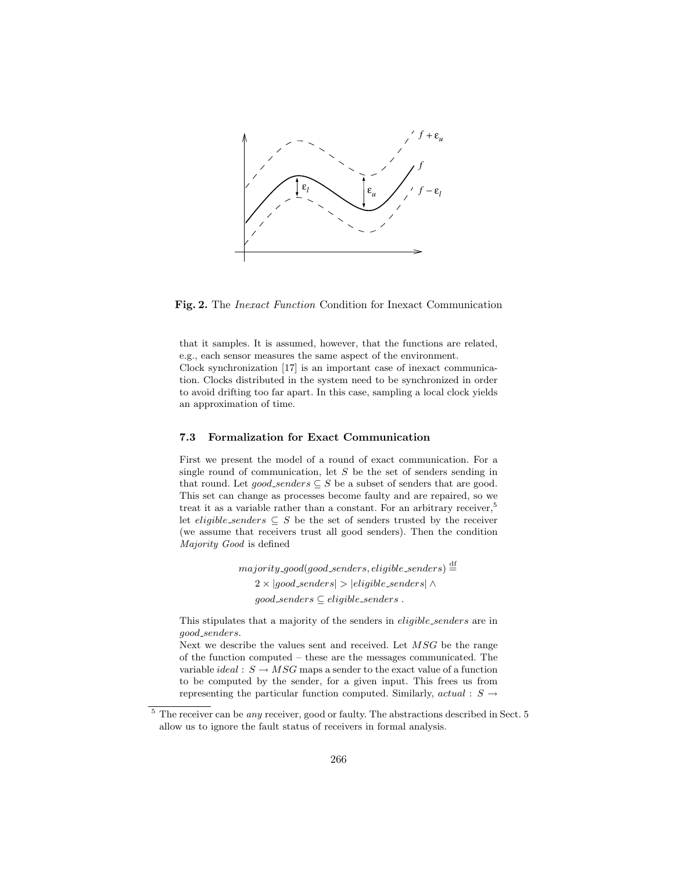

Fig. 2. The Inexact Function Condition for Inexact Communication

that it samples. It is assumed, however, that the functions are related, e.g., each sensor measures the same aspect of the environment. Clock synchronization [17] is an important case of inexact communication. Clocks distributed in the system need to be synchronized in order to avoid drifting too far apart. In this case, sampling a local clock yields an approximation of time.

#### 7.3 Formalization for Exact Communication

First we present the model of a round of exact communication. For a single round of communication, let  $S$  be the set of senders sending in that round. Let  $good\_senders \subseteq S$  be a subset of senders that are good. This set can change as processes become faulty and are repaired, so we treat it as a variable rather than a constant. For an arbitrary receiver,<sup>5</sup> let *eligible\_senders*  $\subseteq$  S be the set of senders trusted by the receiver (we assume that receivers trust all good senders). Then the condition Majority Good is defined

> $majority\_good(good\_senders, eligible\_senders) \stackrel{\mathrm{df}}{=}$  $2 \times |good\_senders| > |eligible\_senders| \wedge$  $good\_{senders} \subseteq eligible\_{senders}$ .

This stipulates that a majority of the senders in *eligible\_senders* are in good senders.

Next we describe the values sent and received. Let  $MSG$  be the range of the function computed – these are the messages communicated. The variable *ideal* :  $S \rightarrow MSG$  maps a sender to the exact value of a function to be computed by the sender, for a given input. This frees us from representing the particular function computed. Similarly,  $actual: S \rightarrow$ 

 $^5$  The receiver can be *any* receiver, good or faulty. The abstractions described in Sect.  $5$ allow us to ignore the fault status of receivers in formal analysis.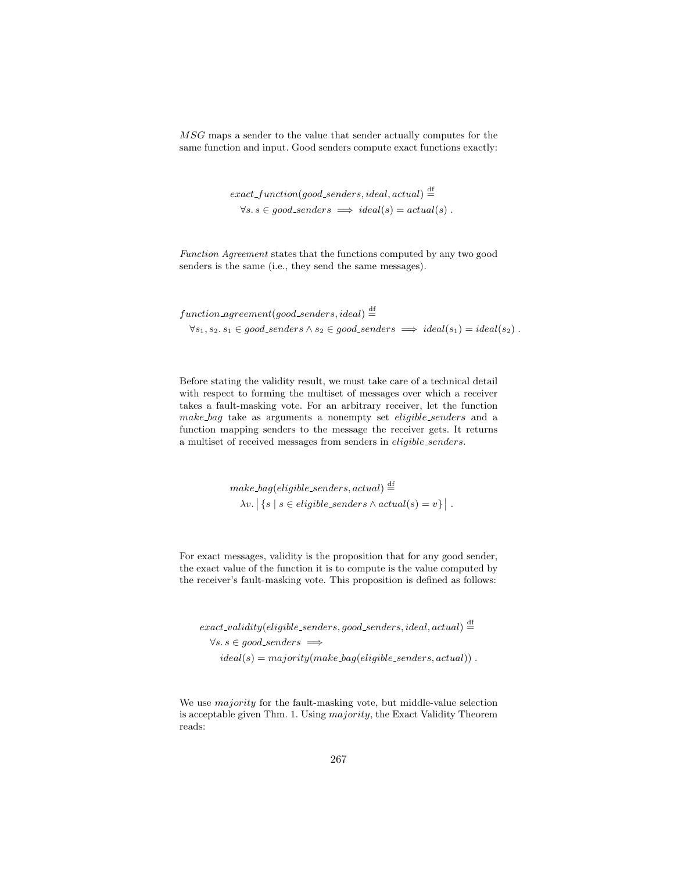MSG maps a sender to the value that sender actually computes for the same function and input. Good senders compute exact functions exactly:

> $exact\_function(good\_senders, ideal, actual) \stackrel{\mathrm{df}}{=}$  $\forall s. s \in good\_senders \implies ideal(s) = actual(s)$ .

Function Agreement states that the functions computed by any two good senders is the same (i.e., they send the same messages).

 $function\_agreement(good\_senders, ideal) \stackrel{\mathrm{df}}{=}$  $\forall s_1, s_2, s_1 \in \text{good-senders} \land s_2 \in \text{good-senders} \implies \text{ideal}(s_1) = \text{ideal}(s_2).$ 

Before stating the validity result, we must take care of a technical detail with respect to forming the multiset of messages over which a receiver takes a fault-masking vote. For an arbitrary receiver, let the function make bag take as arguments a nonempty set *eligible\_senders* and a function mapping senders to the message the receiver gets. It returns a multiset of received messages from senders in eligible senders.

> $\emph{make\_bag}(\emph{eligible\_senders},\emph{actual}) \stackrel{\mathrm{df}}{=}$  $\lambda v. \Big| \{s \mid s \in eligible\_senders \land actual(s) = v\} \Big|$ .

For exact messages, validity is the proposition that for any good sender, the exact value of the function it is to compute is the value computed by the receiver's fault-masking vote. This proposition is defined as follows:

 $\emph{exact\_validity}$ (eligible\_senders, good\_senders, ideal, actual)  $\stackrel{\text{df}}{=}$  $\forall s. s \in good\_{senters} \implies$  $ideal(s) = majority(make\_bag(eligible\_senders, actual))$ .

We use *majority* for the fault-masking vote, but middle-value selection is acceptable given Thm. 1. Using majority, the Exact Validity Theorem reads: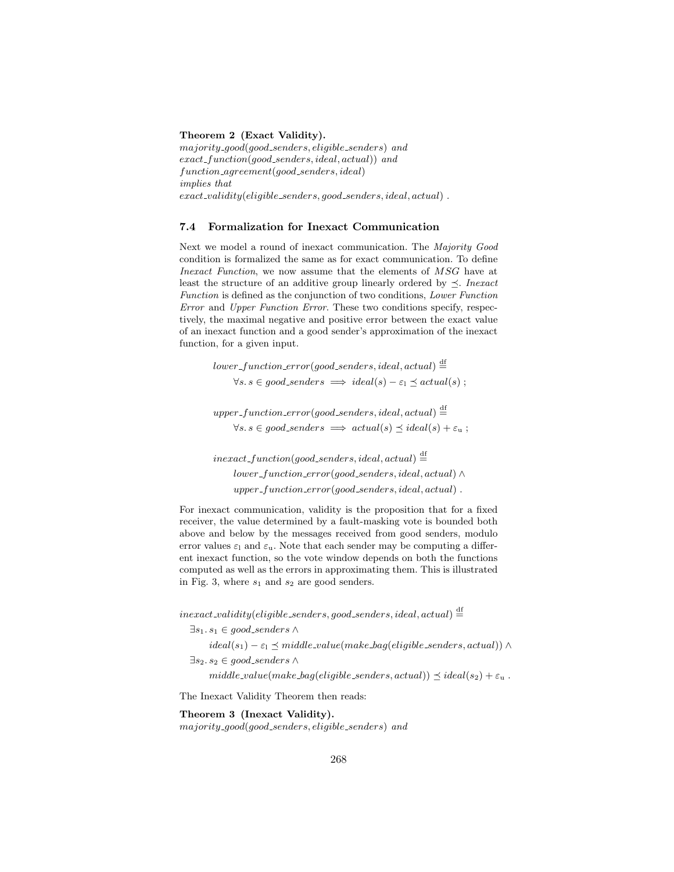#### Theorem 2 (Exact Validity).

majority good(good senders, eligible senders) and exact function(good senders, ideal, actual)) and function agreement(good senders, ideal) implies that  $exact\_validity(eligible\_senders, good\_senders, ideal, actual)$ .

#### 7.4 Formalization for Inexact Communication

Next we model a round of inexact communication. The Majority Good condition is formalized the same as for exact communication. To define Inexact Function, we now assume that the elements of MSG have at least the structure of an additive group linearly ordered by  $\preceq$ . Inexact Function is defined as the conjunction of two conditions, Lower Function Error and Upper Function Error. These two conditions specify, respectively, the maximal negative and positive error between the exact value of an inexact function and a good sender's approximation of the inexact function, for a given input.

> $lower_function\_error(good\_senders, ideal, actual) \stackrel{\mathrm{df}}{=}$  $\forall s. s \in good\_senders \implies ideal(s) - \varepsilon_1 \prec actual(s);$

> $upper\_function\_error(good\_senders, ideal, actual) \stackrel{\mathrm{df}}{=}$  $\forall s. s \in good\_senders \implies actual(s) \prec ideal(s) + \varepsilon_{\text{u}};$

 $inexact\_function(good\_senders, ideal, actual) \stackrel{\mathrm{df}}{=}$  $lower_function_error(qood_senders, ideal, actual) \wedge$ upper function error(good senders, ideal, actual) .

For inexact communication, validity is the proposition that for a fixed receiver, the value determined by a fault-masking vote is bounded both above and below by the messages received from good senders, modulo error values  $\varepsilon_1$  and  $\varepsilon_u$ . Note that each sender may be computing a different inexact function, so the vote window depends on both the functions computed as well as the errors in approximating them. This is illustrated in Fig. 3, where  $s_1$  and  $s_2$  are good senders.

 $inexact\_validity(eligible\_senders, good\_senders, ideal, actual) \stackrel{\mathrm{df}}{=}$ 

 $\exists s_1. s_1 \in good\_senders \land$ 

 $ideal(s_1) - \varepsilon_1 \preceq middle_value(make_baq(eligible_senders, actual)) \wedge$  $\exists s_2. s_2 \in good\_senders \land$ 

 $middle_value(make_bag(eligible_senders, actual)) \preceq ideal(s_2) + \varepsilon_u$ .

The Inexact Validity Theorem then reads:

Theorem 3 (Inexact Validity). majority good(good senders, eligible senders) and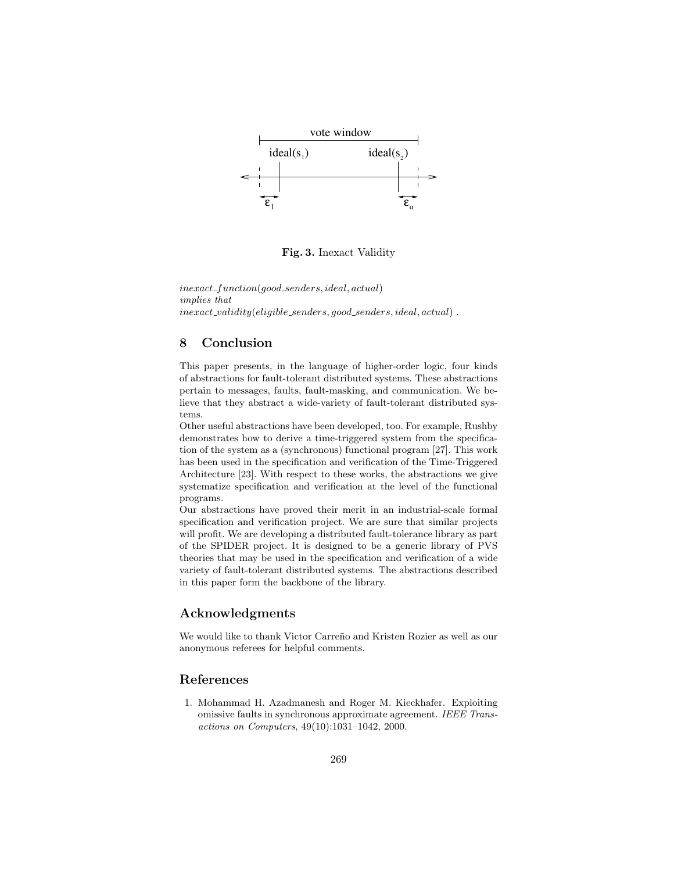

Fig. 3. Inexact Validity

inexact function(good senders, ideal, actual) implies that  $inexact\_validity(eligible\_senders, good\_senders, ideal, actual)$ .

### 8 Conclusion

This paper presents, in the language of higher-order logic, four kinds of abstractions for fault-tolerant distributed systems. These abstractions pertain to messages, faults, fault-masking, and communication. We believe that they abstract a wide-variety of fault-tolerant distributed systems.

Other useful abstractions have been developed, too. For example, Rushby demonstrates how to derive a time-triggered system from the specification of the system as a (synchronous) functional program [27]. This work has been used in the specification and verification of the Time-Triggered Architecture [23]. With respect to these works, the abstractions we give systematize specification and verification at the level of the functional programs.

Our abstractions have proved their merit in an industrial-scale formal specification and verification project. We are sure that similar projects will profit. We are developing a distributed fault-tolerance library as part of the SPIDER project. It is designed to be a generic library of PVS theories that may be used in the specification and verification of a wide variety of fault-tolerant distributed systems. The abstractions described in this paper form the backbone of the library.

# Acknowledgments

We would like to thank Victor Carreño and Kristen Rozier as well as our anonymous referees for helpful comments.

# References

1. Mohammad H. Azadmanesh and Roger M. Kieckhafer. Exploiting omissive faults in synchronous approximate agreement. IEEE Transactions on Computers, 49(10):1031–1042, 2000.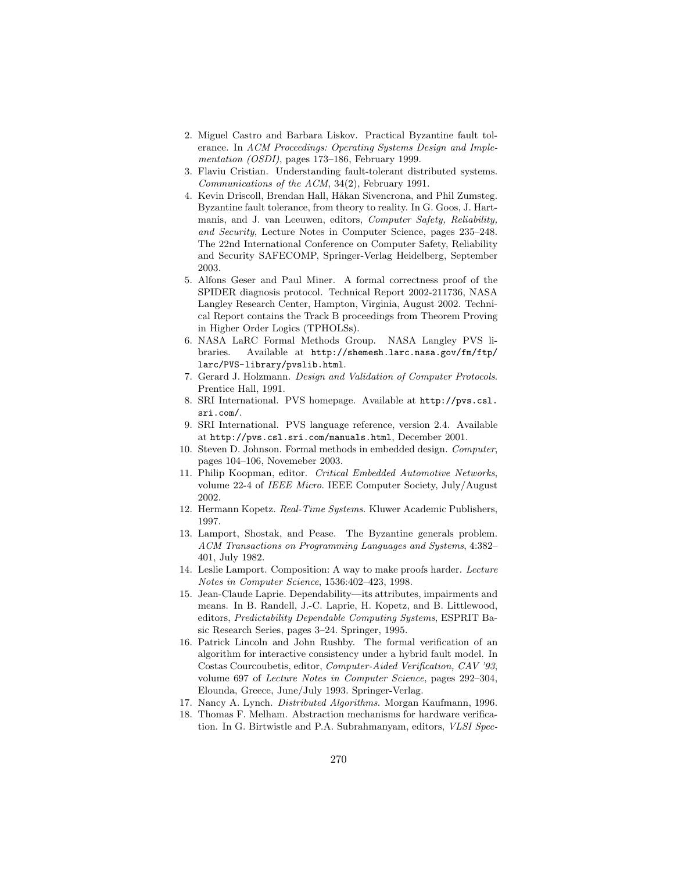- 2. Miguel Castro and Barbara Liskov. Practical Byzantine fault tolerance. In ACM Proceedings: Operating Systems Design and Implementation (OSDI), pages 173–186, February 1999.
- 3. Flaviu Cristian. Understanding fault-tolerant distributed systems. Communications of the ACM, 34(2), February 1991.
- 4. Kevin Driscoll, Brendan Hall, Håkan Sivencrona, and Phil Zumsteg. Byzantine fault tolerance, from theory to reality. In G. Goos, J. Hartmanis, and J. van Leeuwen, editors, Computer Safety, Reliability, and Security, Lecture Notes in Computer Science, pages 235–248. The 22nd International Conference on Computer Safety, Reliability and Security SAFECOMP, Springer-Verlag Heidelberg, September 2003.
- 5. Alfons Geser and Paul Miner. A formal correctness proof of the SPIDER diagnosis protocol. Technical Report 2002-211736, NASA Langley Research Center, Hampton, Virginia, August 2002. Technical Report contains the Track B proceedings from Theorem Proving in Higher Order Logics (TPHOLSs).
- 6. NASA LaRC Formal Methods Group. NASA Langley PVS libraries. Available at http://shemesh.larc.nasa.gov/fm/ftp/ larc/PVS-library/pvslib.html.
- 7. Gerard J. Holzmann. Design and Validation of Computer Protocols. Prentice Hall, 1991.
- 8. SRI International. PVS homepage. Available at http://pvs.csl. sri.com/.
- 9. SRI International. PVS language reference, version 2.4. Available at http://pvs.csl.sri.com/manuals.html, December 2001.
- 10. Steven D. Johnson. Formal methods in embedded design. Computer, pages 104–106, Novemeber 2003.
- 11. Philip Koopman, editor. Critical Embedded Automotive Networks, volume 22-4 of IEEE Micro. IEEE Computer Society, July/August 2002.
- 12. Hermann Kopetz. Real-Time Systems. Kluwer Academic Publishers, 1997.
- 13. Lamport, Shostak, and Pease. The Byzantine generals problem. ACM Transactions on Programming Languages and Systems, 4:382– 401, July 1982.
- 14. Leslie Lamport. Composition: A way to make proofs harder. Lecture Notes in Computer Science, 1536:402–423, 1998.
- 15. Jean-Claude Laprie. Dependability—its attributes, impairments and means. In B. Randell, J.-C. Laprie, H. Kopetz, and B. Littlewood, editors, Predictability Dependable Computing Systems, ESPRIT Basic Research Series, pages 3–24. Springer, 1995.
- 16. Patrick Lincoln and John Rushby. The formal verification of an algorithm for interactive consistency under a hybrid fault model. In Costas Courcoubetis, editor, Computer-Aided Verification, CAV '93, volume 697 of Lecture Notes in Computer Science, pages 292–304, Elounda, Greece, June/July 1993. Springer-Verlag.
- 17. Nancy A. Lynch. Distributed Algorithms. Morgan Kaufmann, 1996.
- 18. Thomas F. Melham. Abstraction mechanisms for hardware verification. In G. Birtwistle and P.A. Subrahmanyam, editors, VLSI Spec-